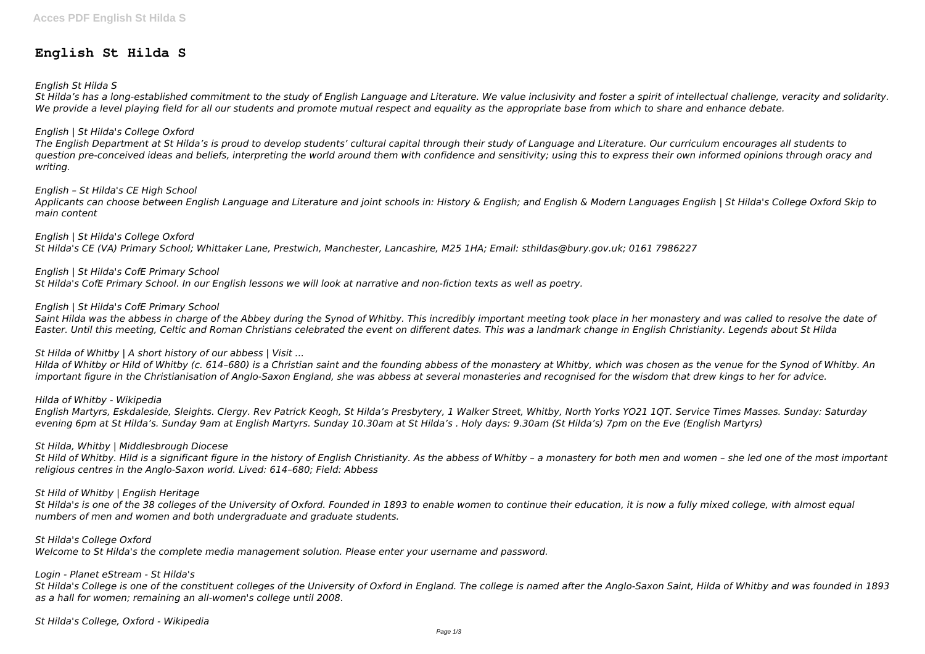# **English St Hilda S**

### *English St Hilda S*

*St Hilda's has a long-established commitment to the study of English Language and Literature. We value inclusivity and foster a spirit of intellectual challenge, veracity and solidarity. We provide a level playing field for all our students and promote mutual respect and equality as the appropriate base from which to share and enhance debate.*

### *English | St Hilda's College Oxford*

*The English Department at St Hilda's is proud to develop students' cultural capital through their study of Language and Literature. Our curriculum encourages all students to question pre-conceived ideas and beliefs, interpreting the world around them with confidence and sensitivity; using this to express their own informed opinions through oracy and writing.*

#### *English – St Hilda's CE High School*

*Applicants can choose between English Language and Literature and joint schools in: History & English; and English & Modern Languages English | St Hilda's College Oxford Skip to main content*

*English | St Hilda's College Oxford St Hilda's CE (VA) Primary School; Whittaker Lane, Prestwich, Manchester, Lancashire, M25 1HA; Email: sthildas@bury.gov.uk; 0161 7986227*

*English | St Hilda's CofE Primary School St Hilda's CofE Primary School. In our English lessons we will look at narrative and non-fiction texts as well as poetry.*

### *English | St Hilda's CofE Primary School*

*Saint Hilda was the abbess in charge of the Abbey during the Synod of Whitby. This incredibly important meeting took place in her monastery and was called to resolve the date of Easter. Until this meeting, Celtic and Roman Christians celebrated the event on different dates. This was a landmark change in English Christianity. Legends about St Hilda*

### *St Hilda of Whitby | A short history of our abbess | Visit ...*

*Hilda of Whitby or Hild of Whitby (c. 614–680) is a Christian saint and the founding abbess of the monastery at Whitby, which was chosen as the venue for the Synod of Whitby. An important figure in the Christianisation of Anglo-Saxon England, she was abbess at several monasteries and recognised for the wisdom that drew kings to her for advice.*

*Hilda of Whitby - Wikipedia*

*English Martyrs, Eskdaleside, Sleights. Clergy. Rev Patrick Keogh, St Hilda's Presbytery, 1 Walker Street, Whitby, North Yorks YO21 1QT. Service Times Masses. Sunday: Saturday evening 6pm at St Hilda's. Sunday 9am at English Martyrs. Sunday 10.30am at St Hilda's . Holy days: 9.30am (St Hilda's) 7pm on the Eve (English Martyrs)*

#### *St Hilda, Whitby | Middlesbrough Diocese*

*St Hild of Whitby. Hild is a significant figure in the history of English Christianity. As the abbess of Whitby – a monastery for both men and women – she led one of the most important religious centres in the Anglo-Saxon world. Lived: 614–680; Field: Abbess*

#### *St Hild of Whitby | English Heritage*

*St Hilda's is one of the 38 colleges of the University of Oxford. Founded in 1893 to enable women to continue their education, it is now a fully mixed college, with almost equal numbers of men and women and both undergraduate and graduate students.*

*St Hilda's College Oxford*

*Welcome to St Hilda's the complete media management solution. Please enter your username and password.*

## *Login - Planet eStream - St Hilda's*

*St Hilda's College is one of the constituent colleges of the University of Oxford in England. The college is named after the Anglo-Saxon Saint, Hilda of Whitby and was founded in 1893 as a hall for women; remaining an all-women's college until 2008.*

*St Hilda's College, Oxford - Wikipedia*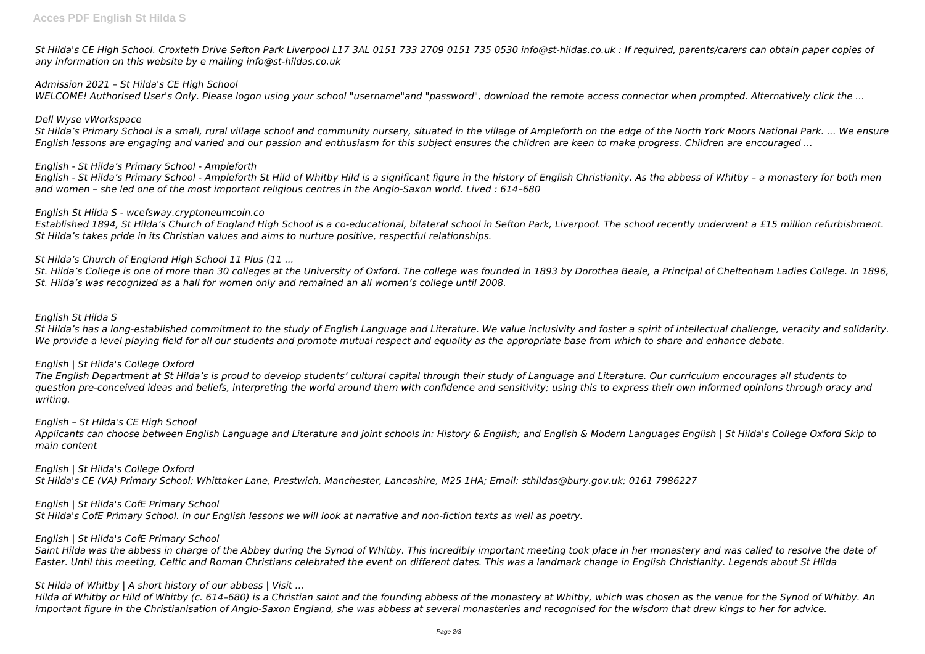*St Hilda's CE High School. Croxteth Drive Sefton Park Liverpool L17 3AL 0151 733 2709 0151 735 0530 info@st-hildas.co.uk : If required, parents/carers can obtain paper copies of any information on this website by e mailing info@st-hildas.co.uk*

### *Admission 2021 – St Hilda's CE High School*

*WELCOME! Authorised User's Only. Please logon using your school "username"and "password", download the remote access connector when prompted. Alternatively click the ...*

### *Dell Wyse vWorkspace*

*St Hilda's Primary School is a small, rural village school and community nursery, situated in the village of Ampleforth on the edge of the North York Moors National Park. ... We ensure English lessons are engaging and varied and our passion and enthusiasm for this subject ensures the children are keen to make progress. Children are encouraged ...*

### *English - St Hilda's Primary School - Ampleforth*

*English - St Hilda's Primary School - Ampleforth St Hild of Whitby Hild is a significant figure in the history of English Christianity. As the abbess of Whitby – a monastery for both men and women – she led one of the most important religious centres in the Anglo-Saxon world. Lived : 614–680*

### *English St Hilda S - wcefsway.cryptoneumcoin.co*

*Established 1894, St Hilda's Church of England High School is a co-educational, bilateral school in Sefton Park, Liverpool. The school recently underwent a £15 million refurbishment. St Hilda's takes pride in its Christian values and aims to nurture positive, respectful relationships.*

### *St Hilda's Church of England High School 11 Plus (11 ...*

*St. Hilda's College is one of more than 30 colleges at the University of Oxford. The college was founded in 1893 by Dorothea Beale, a Principal of Cheltenham Ladies College. In 1896, St. Hilda's was recognized as a hall for women only and remained an all women's college until 2008.*

### *English St Hilda S*

*St Hilda's has a long-established commitment to the study of English Language and Literature. We value inclusivity and foster a spirit of intellectual challenge, veracity and solidarity. We provide a level playing field for all our students and promote mutual respect and equality as the appropriate base from which to share and enhance debate.*

### *English | St Hilda's College Oxford*

*The English Department at St Hilda's is proud to develop students' cultural capital through their study of Language and Literature. Our curriculum encourages all students to question pre-conceived ideas and beliefs, interpreting the world around them with confidence and sensitivity; using this to express their own informed opinions through oracy and writing.*

#### *English – St Hilda's CE High School*

*Applicants can choose between English Language and Literature and joint schools in: History & English; and English & Modern Languages English | St Hilda's College Oxford Skip to main content*

### *English | St Hilda's College Oxford*

*St Hilda's CE (VA) Primary School; Whittaker Lane, Prestwich, Manchester, Lancashire, M25 1HA; Email: sthildas@bury.gov.uk; 0161 7986227*

### *English | St Hilda's CofE Primary School*

*St Hilda's CofE Primary School. In our English lessons we will look at narrative and non-fiction texts as well as poetry.*

### *English | St Hilda's CofE Primary School*

*Saint Hilda was the abbess in charge of the Abbey during the Synod of Whitby. This incredibly important meeting took place in her monastery and was called to resolve the date of Easter. Until this meeting, Celtic and Roman Christians celebrated the event on different dates. This was a landmark change in English Christianity. Legends about St Hilda*

### *St Hilda of Whitby | A short history of our abbess | Visit ...*

*Hilda of Whitby or Hild of Whitby (c. 614–680) is a Christian saint and the founding abbess of the monastery at Whitby, which was chosen as the venue for the Synod of Whitby. An important figure in the Christianisation of Anglo-Saxon England, she was abbess at several monasteries and recognised for the wisdom that drew kings to her for advice.*